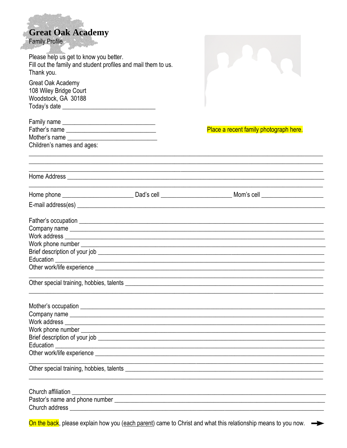|  | <b>Great Oak Academy</b> |
|--|--------------------------|
|  |                          |

Family Profile

Æ

| rammy riville                                                                                                                 |                                                                                                                      |
|-------------------------------------------------------------------------------------------------------------------------------|----------------------------------------------------------------------------------------------------------------------|
| Please help us get to know you better.<br>Fill out the family and student profiles and mail them to us.<br>Thank you.         |                                                                                                                      |
| <b>Great Oak Academy</b><br>108 Wiley Bridge Court<br>Woodstock, GA 30188<br>Today's date ___________________________________ |                                                                                                                      |
|                                                                                                                               |                                                                                                                      |
|                                                                                                                               | Place a recent family photograph here.                                                                               |
|                                                                                                                               |                                                                                                                      |
| Children's names and ages:                                                                                                    | <u> 1980 - Jan James James James James James James James James James James James James James James James James J</u> |
|                                                                                                                               |                                                                                                                      |
|                                                                                                                               | Home phone ________________________________Dad's cell _______________________________Mom's cell ______________       |
|                                                                                                                               |                                                                                                                      |
|                                                                                                                               |                                                                                                                      |
|                                                                                                                               |                                                                                                                      |
|                                                                                                                               |                                                                                                                      |
|                                                                                                                               |                                                                                                                      |
|                                                                                                                               |                                                                                                                      |
|                                                                                                                               |                                                                                                                      |
|                                                                                                                               | <u> 1999 - Jan James James James James James James James James James James James James James James James James J</u> |
|                                                                                                                               |                                                                                                                      |
|                                                                                                                               |                                                                                                                      |
|                                                                                                                               |                                                                                                                      |
|                                                                                                                               |                                                                                                                      |
|                                                                                                                               |                                                                                                                      |
|                                                                                                                               |                                                                                                                      |
|                                                                                                                               |                                                                                                                      |
|                                                                                                                               | <u> 1989 - Jan James James James James James James James James James James James James James James James James J</u> |
|                                                                                                                               |                                                                                                                      |
|                                                                                                                               |                                                                                                                      |
|                                                                                                                               |                                                                                                                      |
|                                                                                                                               |                                                                                                                      |